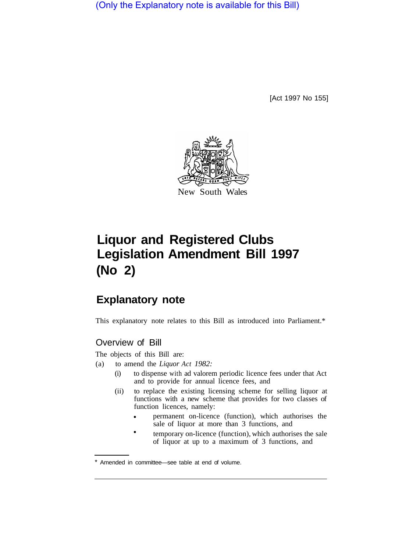(Only the Explanatory note is available for this Bill)

[Act 1997 No 155]



# **Liquor and Registered Clubs Legislation Amendment Bill 1997 (No 2)**

## **Explanatory note**

This explanatory note relates to this Bill as introduced into Parliament.\*

### Overview of Bill

The objects of this Bill are:

- (a) to amend the *Liquor Act 1982:* 
	- (i) to dispense with ad valorem periodic licence fees under that Act and to provide for annual licence fees, and
	- (ii) to replace the existing licensing scheme for selling liquor at functions with a new scheme that provides for two classes of function licences, namely:
		- permanent on-licence (function), which authorises the sale of liquor at more than 3 functions, and •
		- temporary on-licence (function), which authorises the sale of liquor at up to a maximum of 3 functions, and •

Amended in committee—see table at end of volume.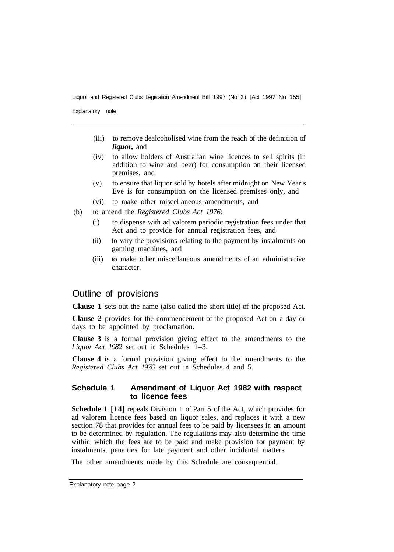Explanatory note

- (iii) to remove dealcoholised wine from the reach of the definition of *liquor,* and
- (iv) to allow holders of Australian wine licences to sell spirits (in addition to wine and beer) for consumption on their licensed premises, and
- (v) to ensure that liquor sold by hotels after midnight on New Year's Eve is for consumption on the licensed premises only, and
- (vi) to make other miscellaneous amendments, and
- (b) to amend the *Registered Clubs Act 1976:* 
	- (i) to dispense with ad valorem periodic registration fees under that Act and to provide for annual registration fees, and
	- (ii) to vary the provisions relating to the payment by instalments on gaming machines, and
	- (iii) to make other miscellaneous amendments of an administrative character.

#### Outline of provisions

**Clause 1** sets out the name (also called the short title) of the proposed Act.

**Clause 2** provides for the commencement of the proposed Act on a day or days to be appointed by proclamation.

**Clause 3** is a formal provision giving effect to the amendments to the *Liquor Act 1982* set out in Schedules 1–3.

**Clause 4** is a formal provision giving effect to the amendments to the *Registered Clubs Act 1976* set out in Schedules 4 and 5.

#### **Schedule 1 Amendment of Liquor Act 1982 with respect to licence fees**

**Schedule 1 [14]** repeals Division 1 of Part 5 of the Act, which provides for ad valorem licence fees based on liquor sales, and replaces it with a new section 78 that provides for annual fees to be paid by licensees in an amount to be determined by regulation. The regulations may also determine the time within which the fees are to be paid and make provision for payment by instalments, penalties for late payment and other incidental matters.

The other amendments made by this Schedule are consequential.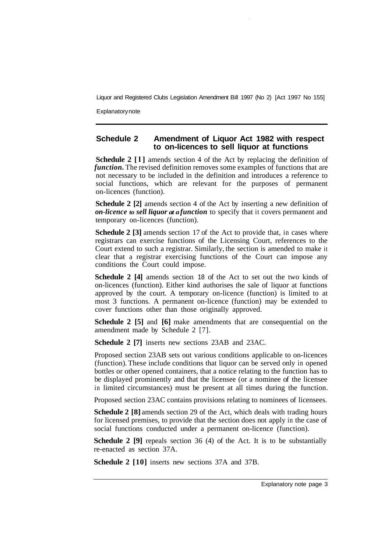Explanatory note

#### **Schedule 2 Amendment of Liquor Act 1982 with respect to on-licences to sell liquor at functions**

**Schedule 2 [l]** amends section 4 of the Act by replacing the definition of *function*. The revised definition removes some examples of functions that are not necessary to be included in the definition and introduces a reference to social functions, which are relevant for the purposes of permanent on-licences (function).

**Schedule 2 [2]** amends section 4 of the Act by inserting a new definition of *on-licence to sell liquor at a function* to specify that it covers permanent and temporary on-licences (function).

**Schedule 2 [3]** amends section 17 of the Act to provide that, in cases where registrars can exercise functions of the Licensing Court, references to the Court extend to such a registrar. Similarly, the section is amended to make it clear that a registrar exercising functions of the Court can impose any conditions the Court could impose.

**Schedule 2 [4]** amends section 18 of the Act to set out the two kinds of on-licences (function). Either kind authorises the sale of liquor at functions approved by the court. A temporary on-licence (function) is limited to at most 3 functions. A permanent on-licence (function) may be extended to cover functions other than those originally approved.

**Schedule 2 [5]** and **[6]** make amendments that are consequential on the amendment made by Schedule 2 [7].

**Schedule 2 [7]** inserts new sections 23AB and 23AC.

Proposed section 23AB sets out various conditions applicable to on-licences (function). These include conditions that liquor can be served only in opened bottles or other opened containers, that a notice relating to the function has to be displayed prominently and that the licensee (or a nominee of the licensee in limited circumstances) must be present at all times during the function.

Proposed section 23AC contains provisions relating to nominees of licensees.

**Schedule 2 [8]** amends section 29 of the Act, which deals with trading hours for licensed premises, to provide that the section does not apply in the case of social functions conducted under a permanent on-licence (function).

**Schedule 2 [9]** repeals section 36 (4) of the Act. It is to be substantially re-enacted as section 37A.

**Schedule 2 [10]** inserts new sections 37A and 37B.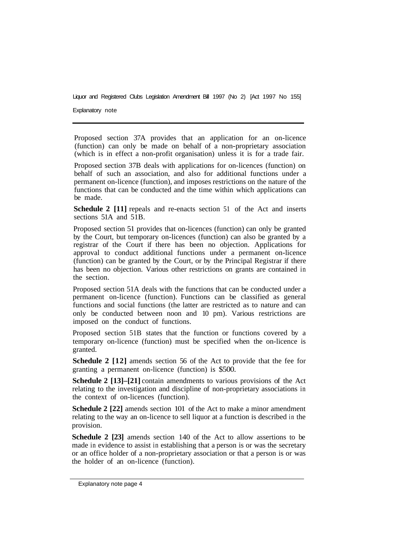Explanatory note

Proposed section 37A provides that an application for an on-licence (function) can only be made on behalf of a non-proprietary association (which is in effect a non-profit organisation) unless it is for a trade fair.

Proposed section 37B deals with applications for on-licences (function) on behalf of such an association, and also for additional functions under a permanent on-licence (function), and imposes restrictions on the nature of the functions that can be conducted and the time within which applications can be made.

**Schedule 2 [11]** repeals and re-enacts section 51 of the Act and inserts sections 51A and 51B.

Proposed section 51 provides that on-licences (function) can only be granted by the Court, but temporary on-licences (function) can also be granted by a registrar of the Court if there has been no objection. Applications for approval to conduct additional functions under a permanent on-licence (function) can be granted by the Court, or by the Principal Registrar if there has been no objection. Various other restrictions on grants are contained in the section.

Proposed section 51A deals with the functions that can be conducted under a permanent on-licence (function). Functions can be classified as general functions and social functions (the latter are restricted as to nature and can only be conducted between noon and 10 pm). Various restrictions are imposed on the conduct of functions.

Proposed section 51B states that the function or functions covered by a temporary on-licence (function) must be specified when the on-licence is granted.

**Schedule 2 [12]** amends section 56 of the Act to provide that the fee for granting a permanent on-licence (function) is \$500.

**Schedule 2 [13]–[21]** contain amendments to various provisions of the Act relating to the investigation and discipline of non-proprietary associations in the context of on-licences (function).

**Schedule 2 [22]** amends section 101 of the Act to make a minor amendment relating to the way an on-licence to sell liquor at a function is described in the provision.

**Schedule 2 [23]** amends section 140 of the Act to allow assertions to be made in evidence to assist in establishing that a person is or was the secretary or an office holder of a non-proprietary association or that a person is or was the holder of an on-licence (function).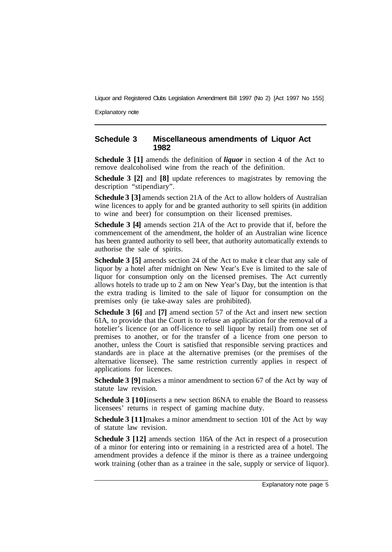Explanatory note

#### **Schedule 3 Miscellaneous amendments of Liquor Act 1982**

**Schedule 3 [1]** amends the definition of *liquor* in section 4 of the Act to remove dealcoholised wine from the reach of the definition.

**Schedule 3 [2]** and **[8]** update references to magistrates by removing the description "stipendiary".

**Schedule 3 [3]** amends section 21A of the Act to allow holders of Australian wine licences to apply for and be granted authority to sell spirits (in addition to wine and beer) for consumption on their licensed premises.

**Schedule 3 [4]** amends section 21A of the Act to provide that if, before the commencement of the amendment, the holder of an Australian wine licence has been granted authority to sell beer, that authority automatically extends to authorise the sale of spirits.

**Schedule 3 [5]** amends section 24 of the Act to make it clear that any sale of liquor by a hotel after midnight on New Year's Eve is limited to the sale of liquor for consumption only on the licensed premises. The Act currently allows hotels to trade up to 2 am on New Year's Day, but the intention is that the extra trading is limited to the sale of liquor for consumption on the premises only (ie take-away sales are prohibited).

**Schedule 3 [6] and [7] amend section 57 of the Act and insert new section** 61A, to provide that the Court is to refuse an application for the removal of a hotelier's licence (or an off-licence to sell liquor by retail) from one set of premises to another, or for the transfer of a licence from one person to another, unless the Court is satisfied that responsible serving practices and standards are in place at the alternative premises (or the premises of the alternative licensee). The same restriction currently applies in respect of applications for licences.

**Schedule 3 [9]** makes a minor amendment to section 67 of the Act by way of statute law revision.

**Schedule 3 [10]** inserts a new section 86NA to enable the Board to reassess licensees' returns in respect of gaming machine duty.

**Schedule 3 [11]** makes a minor amendment to section 101 of the Act by way of statute law revision.

**Schedule 3 [12]** amends section 116A of the Act in respect of a prosecution of a minor for entering into or remaining in a restricted area of a hotel. The amendment provides a defence if the minor is there as a trainee undergoing work training (other than as a trainee in the sale, supply or service of liquor).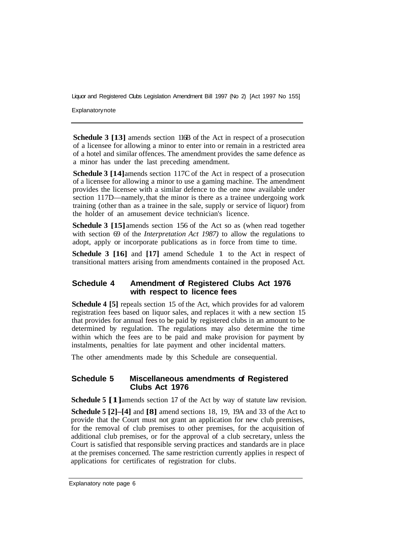**Explanatory note** 

**Schedule 3 [13]** amends section 116B of the Act in respect of a prosecution of a licensee for allowing a minor to enter into or remain in a restricted area of a hotel and similar offences. The amendment provides the same defence as a minor has under the last preceding amendment.

**Schedule 3 [14]** amends section 117C of the Act in respect of a prosecution of a licensee for allowing a minor to use a gaming machine. The amendment provides the licensee with a similar defence to the one now available under section 117D—namely, that the minor is there as a trainee undergoing work training (other than as a trainee in the sale, supply or service of liquor) from the holder of an amusement device technician's licence.

**Schedule 3 [15]** amends section 156 of the Act so as (when read together with section 69 of the *Interpretation Act 1987)* to allow the regulations to adopt, apply or incorporate publications as in force from time to time.

**Schedule 3 [16]** and **[17]** amend Schedule 1 to the Act in respect of transitional matters arising from amendments contained in the proposed Act.

#### **Schedule 4 Amendment of Registered Clubs Act 1976 with respect to licence fees**

**Schedule 4 [5]** repeals section 15 of the Act, which provides for ad valorem registration fees based on liquor sales, and replaces it with a new section 15 that provides for annual fees to be paid by registered clubs in an amount to be determined by regulation. The regulations may also determine the time within which the fees are to be paid and make provision for payment by instalments, penalties for late payment and other incidental matters.

The other amendments made by this Schedule are consequential.

#### **Schedule 5 Miscellaneous amendments of Registered Clubs Act 1976**

**Schedule 5 [1]** amends section 17 of the Act by way of statute law revision.

**Schedule 5 [2]–[4]** and **[8]** amend sections 18, 19, 19A and 33 of the Act to provide that the Court must not grant an application for new club premises, for the removal of club premises to other premises, for the acquisition of additional club premises, or for the approval of a club secretary, unless the Court is satisfied that responsible serving practices and standards are in place at the premises concerned. The same restriction currently applies in respect of applications for certificates of registration for clubs.